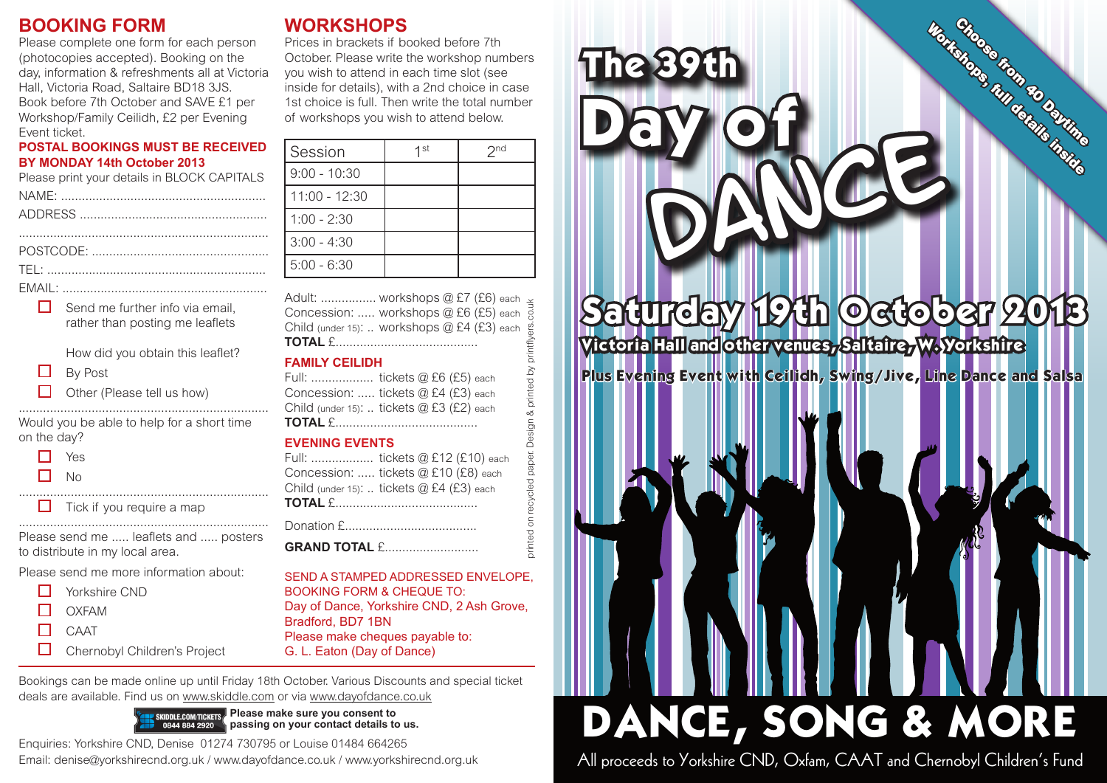## **BOOKING FORM**

Please complete one form for each person (photocopies accepted). Booking on the day, information & refreshments all at Victoria Hall, Victoria Road, Saltaire BD18 3JS. Book before 7th October and SAVE £1 per Workshop/Family Ceilidh, £2 per Evening Event ticket.

#### **POSTAL BOOKINGS MUST BE RECEIVED BY MONDAY 14th October 2013**

| Please print your details in BLOCK CAPITALS |
|---------------------------------------------|
|                                             |
|                                             |
|                                             |

POSTCODE: ................................................... TEL: ...............................................................

EMAIL: ...........................................................

### $\Box$  Send me further info via email. rather than posting me leaflets How did you obtain this leaflet?

- $\Box$ By Post
- $\Box$ Other (Please tell us how)

........................................................................ Would you be able to help for a short time on the day?

- $\Box$  Yes
- $\Box$ No

 $\Box$  Tick if you require a map

Please send me ..... leaflets and ..... posters to distribute in my local area.

........................................................................

........................................................................

Please send me more information about:

- $\Box$ Yorkshire CND П OXFAM
- $\Box$ **CAAT**
- 
- $\Box$ Chernobyl Children's Project

# **WORKSHOPS**

Prices in brackets if booked before 7th October. Please write the workshop numbers you wish to attend in each time slot (see inside for details), with a 2nd choice in case 1st choice is full. Then write the total number of workshops you wish to attend below.

| Session         | $1$ st | 2 <sub>nd</sub> |
|-----------------|--------|-----------------|
| $9:00 - 10:30$  |        |                 |
| $11:00 - 12:30$ |        |                 |
| $1:00 - 2:30$   |        |                 |
| $3:00 - 4:30$   |        |                 |
| $5:00 - 6:30$   |        |                 |

printed on recycled paper. Design & printed by printflyers.co.uk Adult: ................ workshops @ £7 (£6) each Concession: ..... workshops @ £6 (£5) each Child (under 15): .. workshops @ £4 (£3) each **TOTAL** £.........................................

#### **FAMILY CEILIDH**

| Full:  tickets @ £6 (£5) each             |
|-------------------------------------------|
| Concession:  tickets @ £4 (£3) each       |
| Child (under 15):  tickets @ £3 (£2) each |
|                                           |

#### **EVENING EVENTS**

Full: .................. tickets @ £12 (£10) each Concession: ..... tickets @ £10 (£8) each Child (under 15): .. tickets @ £4 (£3) each **TOTAL** £.........................................

jesi paper.

recycled  $\overline{5}$ rinted

Donation £......................................

**GRAND TOTAL** £...........................

SEND A STAMPED ADDRESSED ENVELOPE BOOKING FORM & CHEQUE TO: Day of Dance, Yorkshire CND, 2 Ash Grove, Bradford, BD7 1BN Please make cheques payable to: G. L. Eaton (Day of Dance)

Bookings can be made online up until Friday 18th October. Various Discounts and special ticket deals are available. Find us on www.skiddle.com or via www.dayofdance.co.uk



Enquiries: Yorkshire CND, Denise 01274 730795 or Louise 01484 664265 Email: denise@yorkshirecnd.org.uk / www.dayofdance.co.uk / www.yorkshirecnd.org.uk



# Saturday 19th October 2013 Victoria Hall and other venues, Saltaire, W. Yorkshire

Plus Evening Event with Ceilidh, Swing/Jive, Line Dance and Salsa

# DANCE, SONG & MORE

All proceeds to Yorkshire CND, Oxfam, CAAT and Chernobyl Children's Fund